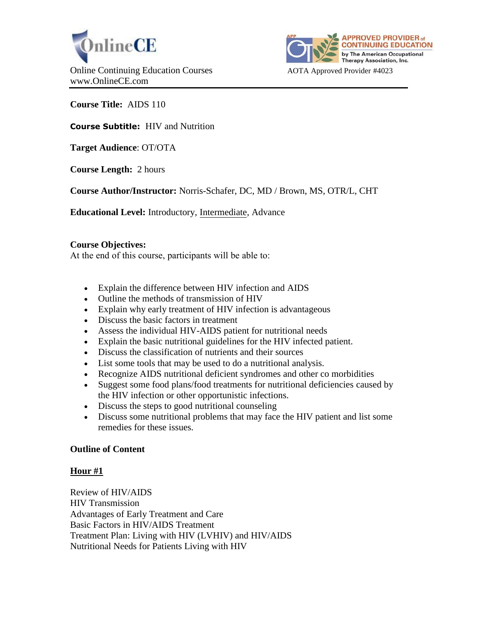



**Course Title:** AIDS 110

**Course Subtitle:** HIV and Nutrition

**Target Audience**: OT/OTA

**Course Length:** 2 hours

**Course Author/Instructor:** Norris-Schafer, DC, MD / Brown, MS, OTR/L, CHT

**Educational Level:** Introductory, Intermediate, Advance

## **Course Objectives:**

At the end of this course, participants will be able to:

- Explain the difference between HIV infection and AIDS
- Outline the methods of transmission of HIV
- Explain why early treatment of HIV infection is advantageous
- Discuss the basic factors in treatment
- Assess the individual HIV-AIDS patient for nutritional needs
- Explain the basic nutritional guidelines for the HIV infected patient.
- Discuss the classification of nutrients and their sources
- List some tools that may be used to do a nutritional analysis.
- Recognize AIDS nutritional deficient syndromes and other co morbidities
- Suggest some food plans/food treatments for nutritional deficiencies caused by the HIV infection or other opportunistic infections.
- Discuss the steps to good nutritional counseling
- Discuss some nutritional problems that may face the HIV patient and list some remedies for these issues.

## **Outline of Content**

## **Hour #1**

Review of HIV/AIDS HIV Transmission Advantages of Early Treatment and Care Basic Factors in HIV/AIDS Treatment Treatment Plan: Living with HIV (LVHIV) and HIV/AIDS Nutritional Needs for Patients Living with HIV